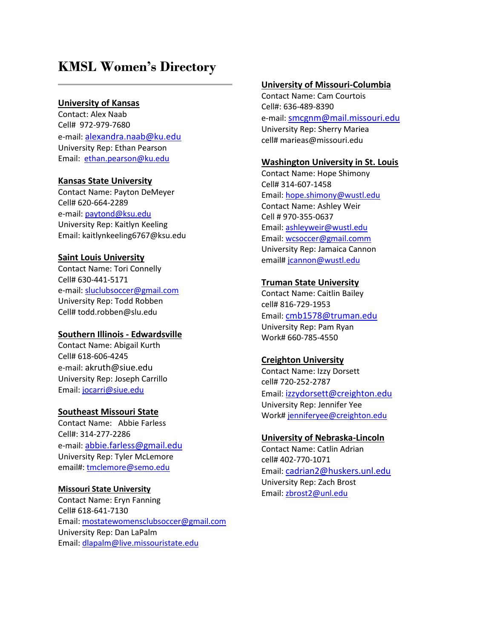# **KMSL Women's Directory**

## **University of Kansas**

Contact: Alex Naab Cell# 972-979-7680 e-mail: [alexandra.naab@ku.edu](mailto:alexandra.naab@ku.edu) University Rep: Ethan Pearson Email: [ethan.pearson@ku.edu](mailto:ethan.pearson@ku.edu)

#### **Kansas State University**

Contact Name: Payton DeMeyer Cell# 620-664-2289 e-mail: [paytond@ksu.edu](mailto:paytond@ksu.edu) University Rep: Kaitlyn Keeling Email: kaitlynkeeling6767@ksu.edu

#### **Saint Louis University**

Contact Name: Tori Connelly Cell# 630-441-5171 e-mail: [sluclubsoccer@gmail.com](mailto:sluclubsoccer@gmail.com) University Rep: Todd Robben Cell# todd.robben@slu.edu

## **Southern Illinois - Edwardsville**

Contact Name: Abigail Kurth Cell# 618-606-4245 e-mail: akruth@siue.edu University Rep: Joseph Carrillo Email: [jocarri@siue.edu](mailto:jocarri@siue.edu)

#### **Southeast Missouri State**

Contact Name: Abbie Farless Cell#: 314-277-2286 e-mail: [abbie.farless@gmail.edu](mailto:abbie.farless@gmail.edu) University Rep: Tyler McLemore email#[: tmclemore@semo.edu](mailto:tmclemore@semo.edu)

#### **Missouri State University**

Contact Name: Eryn Fanning Cell# 618-641-7130 Email: [mostatewomensclubsoccer@gmail.com](mailto:mostatewomensclubsoccer@gmail.com) University Rep: Dan LaPalm Email: [dlapalm@live.missouristate.edu](mailto:dlapalm@live.missouristate.edu)

#### **University of Missouri-Columbia**

Contact Name: Cam Courtois Cell#: 636-489-8390 e-mail: [smcgnm@mail.missouri.edu](mailto:smcgnm@mail.missouri.edu) University Rep: Sherry Mariea cell# marieas@missouri.edu

#### **Washington University in St. Louis**

Contact Name: Hope Shimony Cell# 314-607-1458 Email: [hope.shimony@wustl.edu](mailto:hope.shimony@wustl.edu) Contact Name: Ashley Weir Cell # 970-355-0637 Email: [ashleyweir@wustl.edu](mailto:ashleyweir@wustl.edu) Email: [wcsoccer@gmail.comm](mailto:wcsoccer@gmail.comm) University Rep: Jamaica Cannon email[# jcannon@wustl.edu](mailto:jcannon@wustl.edu)

#### **Truman State University**

Contact Name: Caitlin Bailey cell# 816-729-1953 Email: [cmb1578@truman.edu](mailto:cmb1578@truman.edu) University Rep: Pam Ryan Work# 660-785-4550

## **Creighton University**

Contact Name: Izzy Dorsett cell# 720-252-2787 Email: [izzydorsett@creighton.edu](mailto:izzydorsett@creighton.edu) University Rep: Jennifer Yee Work[# jenniferyee@creighton.edu](mailto:jenniferyee@creighton.edu)

## **University of Nebraska-Lincoln**

Contact Name: Catlin Adrian cell# 402-770-1071 Email: [cadrian2@huskers.unl.edu](mailto:cadrian2@huskers.unl.edu)  University Rep: Zach Brost Email: [zbrost2@unl.edu](mailto:zbrost2@unl.edu)